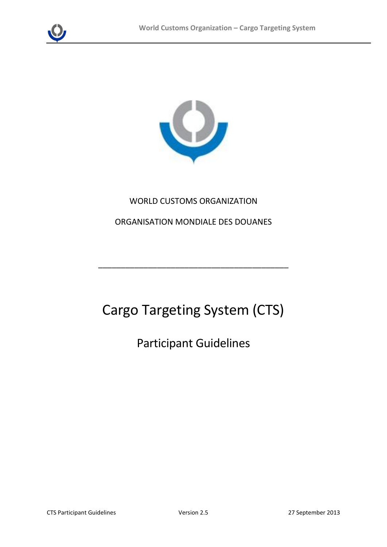



## WORLD CUSTOMS ORGANIZATION

#### ORGANISATION MONDIALE DES DOUANES

\_\_\_\_\_\_\_\_\_\_\_\_\_\_\_\_\_\_\_\_\_\_\_\_\_\_\_\_\_\_\_\_\_\_\_\_\_\_\_\_\_\_

# Cargo Targeting System (CTS)

Participant Guidelines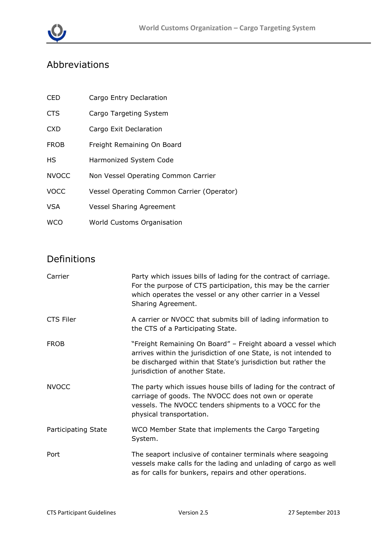

# Abbreviations

| <b>CED</b>   | Cargo Entry Declaration                    |
|--------------|--------------------------------------------|
| <b>CTS</b>   | Cargo Targeting System                     |
| <b>CXD</b>   | Cargo Exit Declaration                     |
| <b>FROB</b>  | Freight Remaining On Board                 |
| HS           | Harmonized System Code                     |
| <b>NVOCC</b> | Non Vessel Operating Common Carrier        |
| <b>VOCC</b>  | Vessel Operating Common Carrier (Operator) |
| <b>VSA</b>   | <b>Vessel Sharing Agreement</b>            |
| <b>WCO</b>   | World Customs Organisation                 |

# Definitions

| Carrier             | Party which issues bills of lading for the contract of carriage.<br>For the purpose of CTS participation, this may be the carrier<br>which operates the vessel or any other carrier in a Vessel<br>Sharing Agreement.               |
|---------------------|-------------------------------------------------------------------------------------------------------------------------------------------------------------------------------------------------------------------------------------|
| CTS Filer           | A carrier or NVOCC that submits bill of lading information to<br>the CTS of a Participating State.                                                                                                                                  |
| <b>FROB</b>         | "Freight Remaining On Board" - Freight aboard a vessel which<br>arrives within the jurisdiction of one State, is not intended to<br>be discharged within that State's jurisdiction but rather the<br>jurisdiction of another State. |
| <b>NVOCC</b>        | The party which issues house bills of lading for the contract of<br>carriage of goods. The NVOCC does not own or operate<br>vessels. The NVOCC tenders shipments to a VOCC for the<br>physical transportation.                      |
| Participating State | WCO Member State that implements the Cargo Targeting<br>System.                                                                                                                                                                     |
| Port                | The seaport inclusive of container terminals where seagoing<br>vessels make calls for the lading and unlading of cargo as well<br>as for calls for bunkers, repairs and other operations.                                           |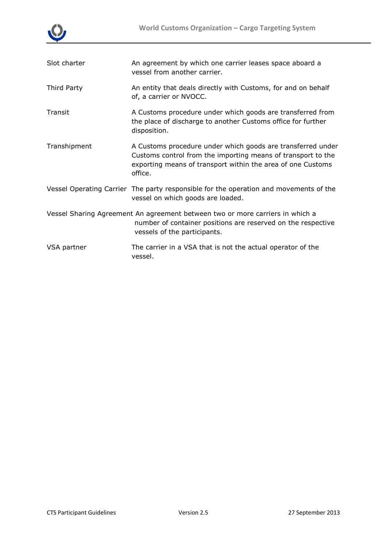

| Slot charter | An agreement by which one carrier leases space aboard a<br>vessel from another carrier.                                                                                                               |
|--------------|-------------------------------------------------------------------------------------------------------------------------------------------------------------------------------------------------------|
| Third Party  | An entity that deals directly with Customs, for and on behalf<br>of, a carrier or NVOCC.                                                                                                              |
| Transit      | A Customs procedure under which goods are transferred from<br>the place of discharge to another Customs office for further<br>disposition.                                                            |
| Transhipment | A Customs procedure under which goods are transferred under<br>Customs control from the importing means of transport to the<br>exporting means of transport within the area of one Customs<br>office. |
|              | Vessel Operating Carrier The party responsible for the operation and movements of the<br>vessel on which goods are loaded.                                                                            |
|              | Vessel Sharing Agreement An agreement between two or more carriers in which a<br>number of container positions are reserved on the respective<br>vessels of the participants.                         |
| VSA partner  | The carrier in a VSA that is not the actual operator of the<br>vessel.                                                                                                                                |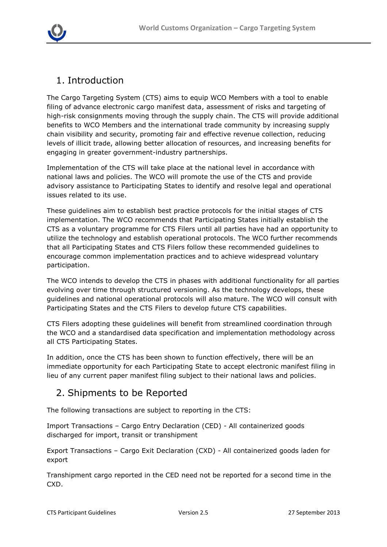

# 1. Introduction

The Cargo Targeting System (CTS) aims to equip WCO Members with a tool to enable filing of advance electronic cargo manifest data, assessment of risks and targeting of high-risk consignments moving through the supply chain. The CTS will provide additional benefits to WCO Members and the international trade community by increasing supply chain visibility and security, promoting fair and effective revenue collection, reducing levels of illicit trade, allowing better allocation of resources, and increasing benefits for engaging in greater government-industry partnerships.

Implementation of the CTS will take place at the national level in accordance with national laws and policies. The WCO will promote the use of the CTS and provide advisory assistance to Participating States to identify and resolve legal and operational issues related to its use.

These guidelines aim to establish best practice protocols for the initial stages of CTS implementation. The WCO recommends that Participating States initially establish the CTS as a voluntary programme for CTS Filers until all parties have had an opportunity to utilize the technology and establish operational protocols. The WCO further recommends that all Participating States and CTS Filers follow these recommended guidelines to encourage common implementation practices and to achieve widespread voluntary participation.

The WCO intends to develop the CTS in phases with additional functionality for all parties evolving over time through structured versioning. As the technology develops, these guidelines and national operational protocols will also mature. The WCO will consult with Participating States and the CTS Filers to develop future CTS capabilities.

CTS Filers adopting these guidelines will benefit from streamlined coordination through the WCO and a standardised data specification and implementation methodology across all CTS Participating States.

In addition, once the CTS has been shown to function effectively, there will be an immediate opportunity for each Participating State to accept electronic manifest filing in lieu of any current paper manifest filing subject to their national laws and policies.

# 2. Shipments to be Reported

The following transactions are subject to reporting in the CTS:

Import Transactions – Cargo Entry Declaration (CED) - All containerized goods discharged for import, transit or transhipment

Export Transactions – Cargo Exit Declaration (CXD) - All containerized goods laden for export

Transhipment cargo reported in the CED need not be reported for a second time in the CXD.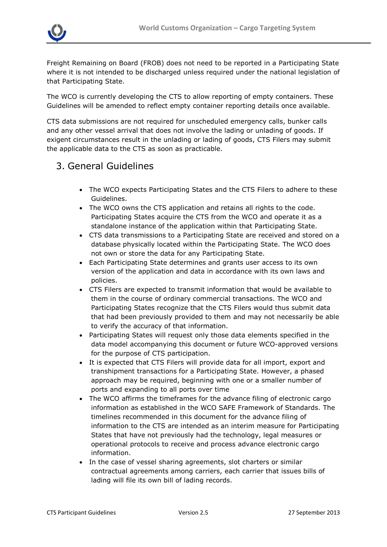

Freight Remaining on Board (FROB) does not need to be reported in a Participating State where it is not intended to be discharged unless required under the national legislation of that Participating State.

The WCO is currently developing the CTS to allow reporting of empty containers. These Guidelines will be amended to reflect empty container reporting details once available.

CTS data submissions are not required for unscheduled emergency calls, bunker calls and any other vessel arrival that does not involve the lading or unlading of goods. If exigent circumstances result in the unlading or lading of goods, CTS Filers may submit the applicable data to the CTS as soon as practicable.

# 3. General Guidelines

- The WCO expects Participating States and the CTS Filers to adhere to these Guidelines.
- The WCO owns the CTS application and retains all rights to the code. Participating States acquire the CTS from the WCO and operate it as a standalone instance of the application within that Participating State.
- CTS data transmissions to a Participating State are received and stored on a database physically located within the Participating State. The WCO does not own or store the data for any Participating State.
- Each Participating State determines and grants user access to its own version of the application and data in accordance with its own laws and policies.
- CTS Filers are expected to transmit information that would be available to them in the course of ordinary commercial transactions. The WCO and Participating States recognize that the CTS Filers would thus submit data that had been previously provided to them and may not necessarily be able to verify the accuracy of that information.
- Participating States will request only those data elements specified in the data model accompanying this document or future WCO-approved versions for the purpose of CTS participation.
- It is expected that CTS Filers will provide data for all import, export and transhipment transactions for a Participating State. However, a phased approach may be required, beginning with one or a smaller number of ports and expanding to all ports over time
- The WCO affirms the timeframes for the advance filing of electronic cargo information as established in the WCO SAFE Framework of Standards. The timelines recommended in this document for the advance filing of information to the CTS are intended as an interim measure for Participating States that have not previously had the technology, legal measures or operational protocols to receive and process advance electronic cargo information.
- In the case of vessel sharing agreements, slot charters or similar contractual agreements among carriers, each carrier that issues bills of lading will file its own bill of lading records.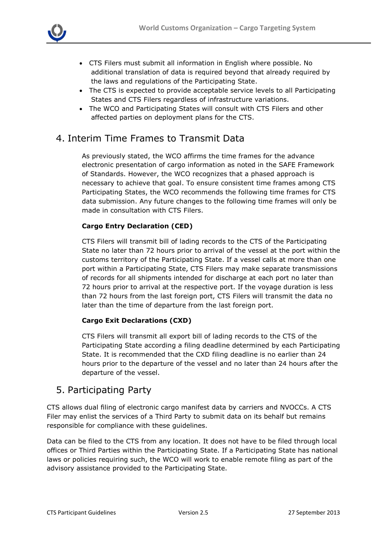

- CTS Filers must submit all information in English where possible. No additional translation of data is required beyond that already required by the laws and regulations of the Participating State.
- The CTS is expected to provide acceptable service levels to all Participating States and CTS Filers regardless of infrastructure variations.
- The WCO and Participating States will consult with CTS Filers and other affected parties on deployment plans for the CTS.

#### 4. Interim Time Frames to Transmit Data

As previously stated, the WCO affirms the time frames for the advance electronic presentation of cargo information as noted in the SAFE Framework of Standards. However, the WCO recognizes that a phased approach is necessary to achieve that goal. To ensure consistent time frames among CTS Participating States, the WCO recommends the following time frames for CTS data submission. Any future changes to the following time frames will only be made in consultation with CTS Filers.

#### **Cargo Entry Declaration (CED)**

CTS Filers will transmit bill of lading records to the CTS of the Participating State no later than 72 hours prior to arrival of the vessel at the port within the customs territory of the Participating State. If a vessel calls at more than one port within a Participating State, CTS Filers may make separate transmissions of records for all shipments intended for discharge at each port no later than 72 hours prior to arrival at the respective port. If the voyage duration is less than 72 hours from the last foreign port, CTS Filers will transmit the data no later than the time of departure from the last foreign port.

#### **Cargo Exit Declarations (CXD)**

CTS Filers will transmit all export bill of lading records to the CTS of the Participating State according a filing deadline determined by each Participating State. It is recommended that the CXD filing deadline is no earlier than 24 hours prior to the departure of the vessel and no later than 24 hours after the departure of the vessel.

#### 5. Participating Party

CTS allows dual filing of electronic cargo manifest data by carriers and NVOCCs. A CTS Filer may enlist the services of a Third Party to submit data on its behalf but remains responsible for compliance with these guidelines.

Data can be filed to the CTS from any location. It does not have to be filed through local offices or Third Parties within the Participating State. If a Participating State has national laws or policies requiring such, the WCO will work to enable remote filing as part of the advisory assistance provided to the Participating State.